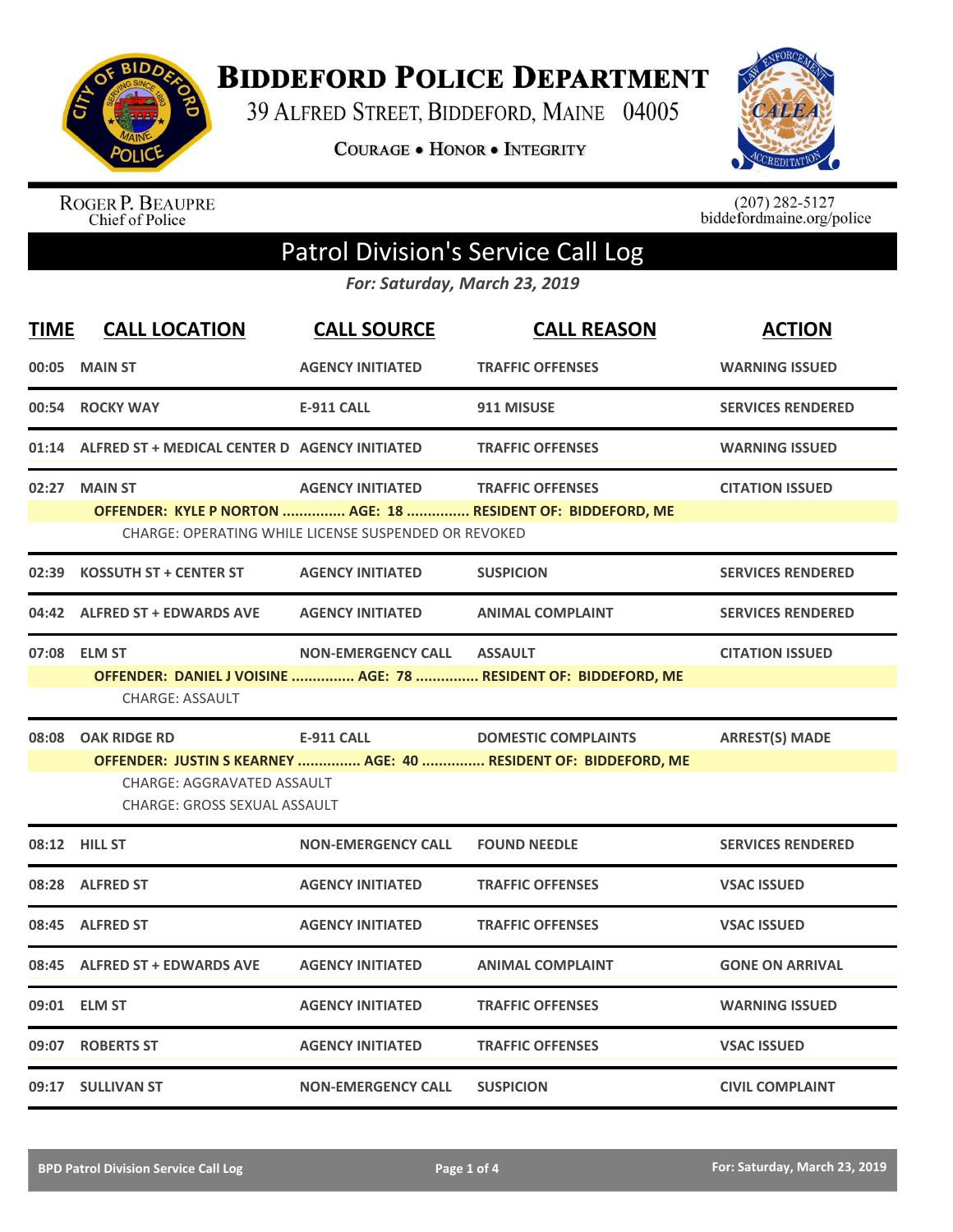

**BIDDEFORD POLICE DEPARTMENT** 

39 ALFRED STREET, BIDDEFORD, MAINE 04005

**COURAGE . HONOR . INTEGRITY** 



ROGER P. BEAUPRE<br>Chief of Police

 $(207)$  282-5127<br>biddefordmaine.org/police

## Patrol Division's Service Call Log

*For: Saturday, March 23, 2019*

| <b>TIME</b> | <b>CALL LOCATION</b>                                | <b>CALL SOURCE</b>                                   | <b>CALL REASON</b>                                              | <b>ACTION</b>            |
|-------------|-----------------------------------------------------|------------------------------------------------------|-----------------------------------------------------------------|--------------------------|
| 00:05       | <b>MAIN ST</b>                                      | <b>AGENCY INITIATED</b>                              | <b>TRAFFIC OFFENSES</b>                                         | <b>WARNING ISSUED</b>    |
| 00:54       | <b>ROCKY WAY</b>                                    | <b>E-911 CALL</b>                                    | 911 MISUSE                                                      | <b>SERVICES RENDERED</b> |
|             | 01:14 ALFRED ST + MEDICAL CENTER D AGENCY INITIATED |                                                      | <b>TRAFFIC OFFENSES</b>                                         | <b>WARNING ISSUED</b>    |
|             | 02:27 MAIN ST                                       | <b>AGENCY INITIATED</b>                              | <b>TRAFFIC OFFENSES</b>                                         | <b>CITATION ISSUED</b>   |
|             |                                                     | CHARGE: OPERATING WHILE LICENSE SUSPENDED OR REVOKED | OFFENDER: KYLE P NORTON  AGE: 18  RESIDENT OF: BIDDEFORD, ME    |                          |
| 02:39       | <b>KOSSUTH ST + CENTER ST</b>                       | <b>AGENCY INITIATED</b>                              | <b>SUSPICION</b>                                                | <b>SERVICES RENDERED</b> |
|             | 04:42 ALFRED ST + EDWARDS AVE                       | <b>AGENCY INITIATED</b>                              | <b>ANIMAL COMPLAINT</b>                                         | <b>SERVICES RENDERED</b> |
|             | 07:08 ELM ST                                        | <b>NON-EMERGENCY CALL</b>                            | <b>ASSAULT</b>                                                  | <b>CITATION ISSUED</b>   |
|             |                                                     |                                                      | OFFENDER: DANIEL J VOISINE  AGE: 78  RESIDENT OF: BIDDEFORD, ME |                          |
|             | CHARGE: ASSAULT                                     |                                                      |                                                                 |                          |
|             | 08:08 OAK RIDGE RD                                  | <b>E-911 CALL</b>                                    | <b>DOMESTIC COMPLAINTS</b>                                      | <b>ARREST(S) MADE</b>    |
|             |                                                     |                                                      | OFFENDER: JUSTIN S KEARNEY  AGE: 40  RESIDENT OF: BIDDEFORD, ME |                          |
|             | <b>CHARGE: AGGRAVATED ASSAULT</b>                   |                                                      |                                                                 |                          |
|             | <b>CHARGE: GROSS SEXUAL ASSAULT</b>                 |                                                      |                                                                 |                          |
|             | 08:12 HILL ST                                       | <b>NON-EMERGENCY CALL</b>                            | <b>FOUND NEEDLE</b>                                             | <b>SERVICES RENDERED</b> |
|             | 08:28 ALFRED ST                                     | <b>AGENCY INITIATED</b>                              | <b>TRAFFIC OFFENSES</b>                                         | <b>VSAC ISSUED</b>       |
|             | 08:45 ALFRED ST                                     | <b>AGENCY INITIATED</b>                              | <b>TRAFFIC OFFENSES</b>                                         | <b>VSAC ISSUED</b>       |
|             | 08:45 ALFRED ST + EDWARDS AVE                       | <b>AGENCY INITIATED</b>                              | <b>ANIMAL COMPLAINT</b>                                         | <b>GONE ON ARRIVAL</b>   |
|             | 09:01 ELM ST                                        | <b>AGENCY INITIATED</b>                              | <b>TRAFFIC OFFENSES</b>                                         | <b>WARNING ISSUED</b>    |
| 09:07       | <b>ROBERTS ST</b>                                   | <b>AGENCY INITIATED</b>                              | <b>TRAFFIC OFFENSES</b>                                         | <b>VSAC ISSUED</b>       |
|             | 09:17 SULLIVAN ST                                   | <b>NON-EMERGENCY CALL</b>                            | <b>SUSPICION</b>                                                | <b>CIVIL COMPLAINT</b>   |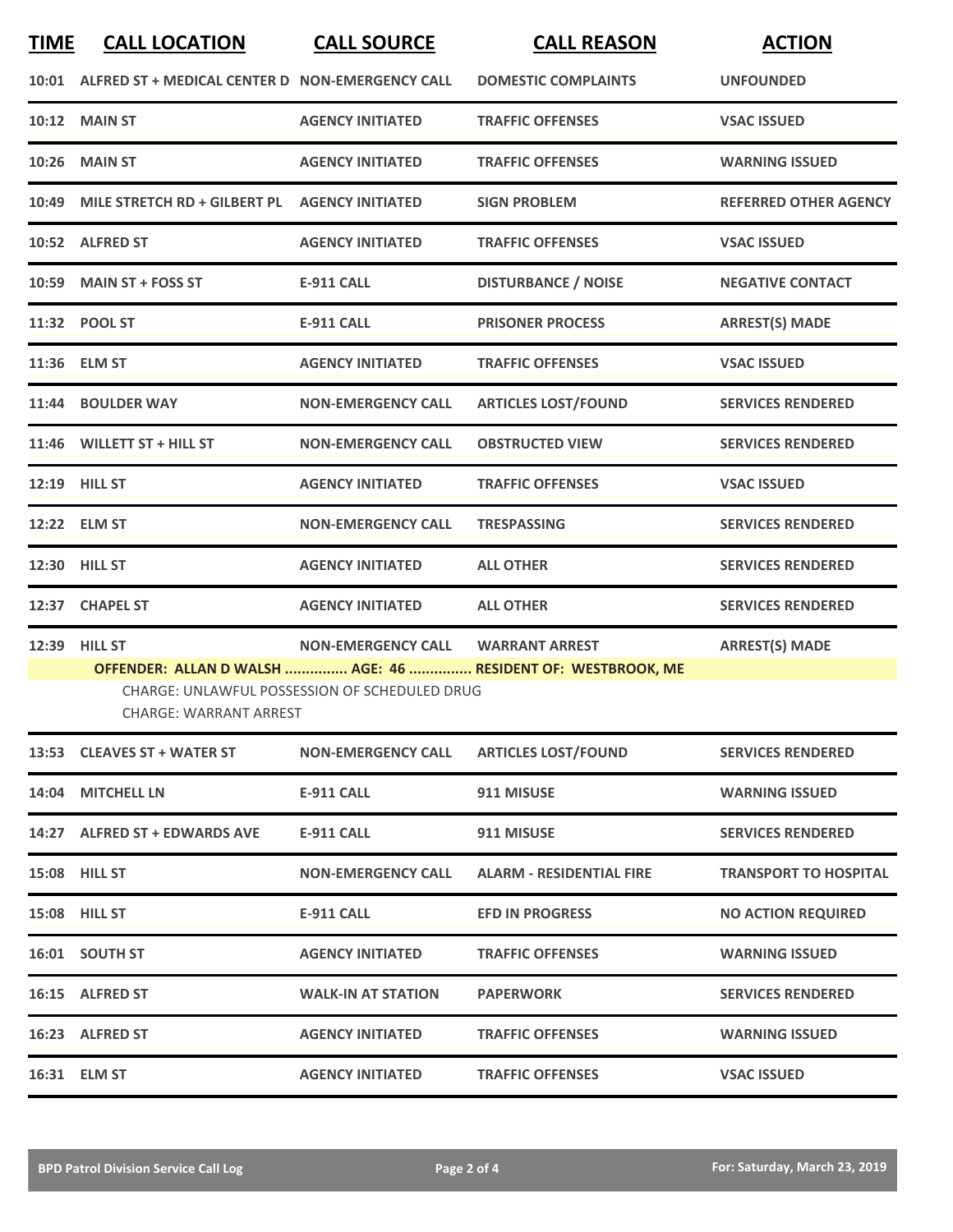## **TIME CALL LOCATION CALL SOURCE CALL REASON ACTION**

|       | 10:01 ALFRED ST + MEDICAL CENTER D NON-EMERGENCY CALL                                                                                                 |                           | <b>DOMESTIC COMPLAINTS</b>      | <b>UNFOUNDED</b>             |  |
|-------|-------------------------------------------------------------------------------------------------------------------------------------------------------|---------------------------|---------------------------------|------------------------------|--|
| 10:12 | <b>MAIN ST</b>                                                                                                                                        | <b>AGENCY INITIATED</b>   | <b>TRAFFIC OFFENSES</b>         | <b>VSAC ISSUED</b>           |  |
| 10:26 | <b>MAIN ST</b>                                                                                                                                        | <b>AGENCY INITIATED</b>   | <b>TRAFFIC OFFENSES</b>         | <b>WARNING ISSUED</b>        |  |
| 10:49 | MILE STRETCH RD + GILBERT PL                                                                                                                          | <b>AGENCY INITIATED</b>   | <b>SIGN PROBLEM</b>             | <b>REFERRED OTHER AGENCY</b> |  |
|       | 10:52 ALFRED ST                                                                                                                                       | <b>AGENCY INITIATED</b>   | <b>TRAFFIC OFFENSES</b>         | <b>VSAC ISSUED</b>           |  |
| 10:59 | <b>MAIN ST + FOSS ST</b>                                                                                                                              | <b>E-911 CALL</b>         | <b>DISTURBANCE / NOISE</b>      | <b>NEGATIVE CONTACT</b>      |  |
|       | 11:32 POOL ST                                                                                                                                         | <b>E-911 CALL</b>         | <b>PRISONER PROCESS</b>         | <b>ARREST(S) MADE</b>        |  |
|       | 11:36 ELM ST                                                                                                                                          | <b>AGENCY INITIATED</b>   | <b>TRAFFIC OFFENSES</b>         | <b>VSAC ISSUED</b>           |  |
| 11:44 | <b>BOULDER WAY</b>                                                                                                                                    | <b>NON-EMERGENCY CALL</b> | <b>ARTICLES LOST/FOUND</b>      | <b>SERVICES RENDERED</b>     |  |
|       | 11:46 WILLETT ST + HILL ST                                                                                                                            | <b>NON-EMERGENCY CALL</b> | <b>OBSTRUCTED VIEW</b>          | <b>SERVICES RENDERED</b>     |  |
|       | 12:19 HILL ST                                                                                                                                         | <b>AGENCY INITIATED</b>   | <b>TRAFFIC OFFENSES</b>         | <b>VSAC ISSUED</b>           |  |
| 12:22 | <b>ELM ST</b>                                                                                                                                         | <b>NON-EMERGENCY CALL</b> | <b>TRESPASSING</b>              | <b>SERVICES RENDERED</b>     |  |
|       | 12:30 HILL ST                                                                                                                                         | <b>AGENCY INITIATED</b>   | <b>ALL OTHER</b>                | <b>SERVICES RENDERED</b>     |  |
| 12:37 | <b>CHAPEL ST</b>                                                                                                                                      | <b>AGENCY INITIATED</b>   | <b>ALL OTHER</b>                | <b>SERVICES RENDERED</b>     |  |
| 12:39 | <b>HILL ST</b>                                                                                                                                        | <b>NON-EMERGENCY CALL</b> | <b>WARRANT ARREST</b>           | <b>ARREST(S) MADE</b>        |  |
|       | OFFENDER: ALLAN D WALSH  AGE: 46  RESIDENT OF: WESTBROOK, ME<br><b>CHARGE: UNLAWFUL POSSESSION OF SCHEDULED DRUG</b><br><b>CHARGE: WARRANT ARREST</b> |                           |                                 |                              |  |
| 13:53 | <b>CLEAVES ST + WATER ST</b>                                                                                                                          | <b>NON-EMERGENCY CALL</b> | <b>ARTICLES LOST/FOUND</b>      | <b>SERVICES RENDERED</b>     |  |
| 14:04 | <b>MITCHELL LN</b>                                                                                                                                    | <b>E-911 CALL</b>         | 911 MISUSE                      | <b>WARNING ISSUED</b>        |  |
| 14:27 | <b>ALFRED ST + EDWARDS AVE</b>                                                                                                                        | <b>E-911 CALL</b>         | 911 MISUSE                      | <b>SERVICES RENDERED</b>     |  |
|       | 15:08 HILL ST                                                                                                                                         | NON-EMERGENCY CALL        | <b>ALARM - RESIDENTIAL FIRE</b> | <b>TRANSPORT TO HOSPITAL</b> |  |
|       | 15:08 HILL ST                                                                                                                                         | <b>E-911 CALL</b>         | <b>EFD IN PROGRESS</b>          | <b>NO ACTION REQUIRED</b>    |  |
|       | 16:01 SOUTH ST                                                                                                                                        | <b>AGENCY INITIATED</b>   | <b>TRAFFIC OFFENSES</b>         | <b>WARNING ISSUED</b>        |  |
|       | 16:15 ALFRED ST                                                                                                                                       | <b>WALK-IN AT STATION</b> | <b>PAPERWORK</b>                | <b>SERVICES RENDERED</b>     |  |
|       | 16:23 ALFRED ST                                                                                                                                       | <b>AGENCY INITIATED</b>   | <b>TRAFFIC OFFENSES</b>         | <b>WARNING ISSUED</b>        |  |
|       | 16:31 ELM ST                                                                                                                                          | <b>AGENCY INITIATED</b>   | <b>TRAFFIC OFFENSES</b>         | <b>VSAC ISSUED</b>           |  |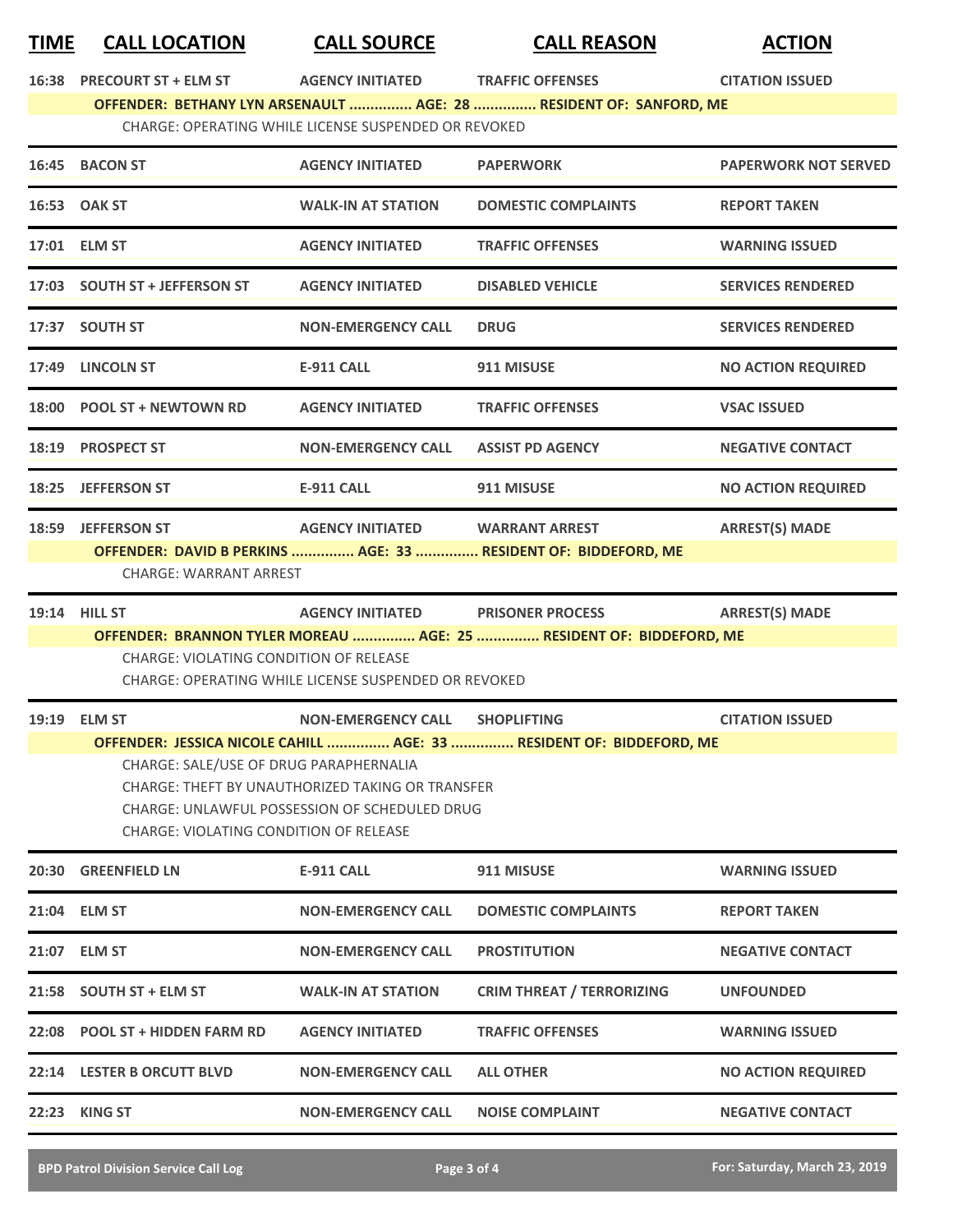## **TIME CALL LOCATION CALL SOURCE CALL REASON ACTION**

**16:3888 AGENCY INITIATED TRAFFIC OFFENSES CITATION ISSUED** 

**OFFENDER: BETHANY LYN ARSENAULT ............... AGE: 28 ............... RESIDENT OF: SANFORD, ME**

CHARGE: OPERATING WHILE LICENSE SUSPENDED OR REVOKED

| 16:45 BACON ST                                                                                                                                                                                                                                                                     | <b>AGENCY INITIATED</b>   | <b>PAPERWORK</b>                                            | <b>PAPERWORK NOT SERVED</b>                                                                                                                                                  |  |
|------------------------------------------------------------------------------------------------------------------------------------------------------------------------------------------------------------------------------------------------------------------------------------|---------------------------|-------------------------------------------------------------|------------------------------------------------------------------------------------------------------------------------------------------------------------------------------|--|
| 16:53 OAK ST                                                                                                                                                                                                                                                                       | <b>WALK-IN AT STATION</b> | <b>DOMESTIC COMPLAINTS</b>                                  | <b>REPORT TAKEN</b>                                                                                                                                                          |  |
| 17:01 ELM ST                                                                                                                                                                                                                                                                       | <b>AGENCY INITIATED</b>   | <b>TRAFFIC OFFENSES</b>                                     | <b>WARNING ISSUED</b>                                                                                                                                                        |  |
| 17:03 SOUTH ST + JEFFERSON ST                                                                                                                                                                                                                                                      | <b>AGENCY INITIATED</b>   | <b>DISABLED VEHICLE</b>                                     | <b>SERVICES RENDERED</b>                                                                                                                                                     |  |
| 17:37 SOUTH ST                                                                                                                                                                                                                                                                     | <b>NON-EMERGENCY CALL</b> | <b>DRUG</b>                                                 | <b>SERVICES RENDERED</b>                                                                                                                                                     |  |
| 17:49 LINCOLN ST                                                                                                                                                                                                                                                                   | <b>E-911 CALL</b>         | 911 MISUSE                                                  | <b>NO ACTION REQUIRED</b>                                                                                                                                                    |  |
| 18:00 POOL ST + NEWTOWN RD                                                                                                                                                                                                                                                         | <b>AGENCY INITIATED</b>   | <b>TRAFFIC OFFENSES</b>                                     | <b>VSAC ISSUED</b>                                                                                                                                                           |  |
| 18:19 PROSPECT ST                                                                                                                                                                                                                                                                  | <b>NON-EMERGENCY CALL</b> | <b>ASSIST PD AGENCY</b>                                     | <b>NEGATIVE CONTACT</b>                                                                                                                                                      |  |
| 18:25 JEFFERSON ST                                                                                                                                                                                                                                                                 | <b>E-911 CALL</b>         | 911 MISUSE                                                  | <b>NO ACTION REQUIRED</b>                                                                                                                                                    |  |
| 18:59 JEFFERSON ST                                                                                                                                                                                                                                                                 |                           | <b>WARRANT ARREST</b>                                       | <b>ARREST(S) MADE</b>                                                                                                                                                        |  |
| <b>19:14 HILL ST</b>                                                                                                                                                                                                                                                               |                           |                                                             | <b>ARREST(S) MADE</b>                                                                                                                                                        |  |
| OFFENDER: BRANNON TYLER MOREAU  AGE: 25  RESIDENT OF: BIDDEFORD, ME<br>CHARGE: VIOLATING CONDITION OF RELEASE<br>CHARGE: OPERATING WHILE LICENSE SUSPENDED OR REVOKED                                                                                                              |                           |                                                             |                                                                                                                                                                              |  |
| 19:19 ELM ST                                                                                                                                                                                                                                                                       |                           | <b>SHOPLIFTING</b>                                          | <b>CITATION ISSUED</b>                                                                                                                                                       |  |
| OFFENDER: JESSICA NICOLE CAHILL  AGE: 33  RESIDENT OF: BIDDEFORD, ME<br>CHARGE: SALE/USE OF DRUG PARAPHERNALIA<br><b>CHARGE: THEFT BY UNAUTHORIZED TAKING OR TRANSFER</b><br><b>CHARGE: UNLAWFUL POSSESSION OF SCHEDULED DRUG</b><br><b>CHARGE: VIOLATING CONDITION OF RELEASE</b> |                           |                                                             |                                                                                                                                                                              |  |
| 20:30 GREENFIELD LN                                                                                                                                                                                                                                                                | E-911 CALL                | 911 MISUSE                                                  | <b>WARNING ISSUED</b>                                                                                                                                                        |  |
| 21:04 ELM ST                                                                                                                                                                                                                                                                       | <b>NON-EMERGENCY CALL</b> | <b>DOMESTIC COMPLAINTS</b>                                  | <b>REPORT TAKEN</b>                                                                                                                                                          |  |
| 21:07 ELM ST                                                                                                                                                                                                                                                                       | NON-EMERGENCY CALL        | <b>PROSTITUTION</b>                                         | <b>NEGATIVE CONTACT</b>                                                                                                                                                      |  |
| 21:58 SOUTH ST + ELM ST                                                                                                                                                                                                                                                            | <b>WALK-IN AT STATION</b> | <b>CRIM THREAT / TERRORIZING</b>                            | <b>UNFOUNDED</b>                                                                                                                                                             |  |
| 22:08 POOL ST + HIDDEN FARM RD                                                                                                                                                                                                                                                     | <b>AGENCY INITIATED</b>   | <b>TRAFFIC OFFENSES</b>                                     | <b>WARNING ISSUED</b>                                                                                                                                                        |  |
|                                                                                                                                                                                                                                                                                    | <b>NON-EMERGENCY CALL</b> | <b>ALL OTHER</b>                                            | <b>NO ACTION REQUIRED</b>                                                                                                                                                    |  |
| 22:23 KING ST                                                                                                                                                                                                                                                                      |                           |                                                             |                                                                                                                                                                              |  |
|                                                                                                                                                                                                                                                                                    |                           | <b>CHARGE: WARRANT ARREST</b><br>22:14 LESTER B ORCUTT BLVD | <b>AGENCY INITIATED</b><br>OFFENDER: DAVID B PERKINS  AGE: 33  RESIDENT OF: BIDDEFORD, ME<br><b>AGENCY INITIATED</b><br><b>PRISONER PROCESS</b><br><b>NON-EMERGENCY CALL</b> |  |